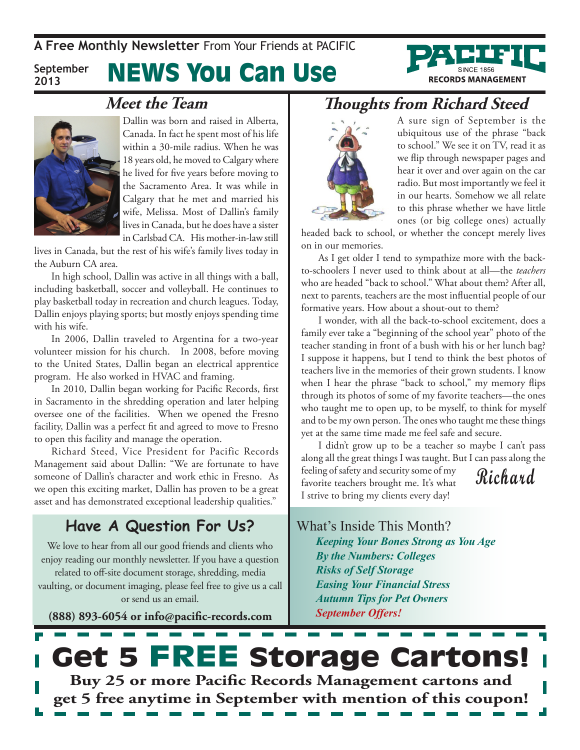**A Free Monthly Newsletter** From Your Friends at Pacific

**September 2013**

## News You Can Use



### **Meet the Team**



Dallin was born and raised in Alberta, Canada. In fact he spent most of his life within a 30-mile radius. When he was 18 years old, he moved to Calgary where he lived for five years before moving to the Sacramento Area. It was while in Calgary that he met and married his wife, Melissa. Most of Dallin's family lives in Canada, but he does have a sister in Carlsbad CA. His mother-in-law still

lives in Canada, but the rest of his wife's family lives today in the Auburn CA area.

In high school, Dallin was active in all things with a ball, including basketball, soccer and volleyball. He continues to play basketball today in recreation and church leagues. Today, Dallin enjoys playing sports; but mostly enjoys spending time with his wife.

In 2006, Dallin traveled to Argentina for a two-year volunteer mission for his church. In 2008, before moving to the United States, Dallin began an electrical apprentice program. He also worked in HVAC and framing.

In 2010, Dallin began working for Pacific Records, first in Sacramento in the shredding operation and later helping oversee one of the facilities. When we opened the Fresno facility, Dallin was a perfect fit and agreed to move to Fresno to open this facility and manage the operation.

Richard Steed, Vice President for Pacific Records Management said about Dallin: "We are fortunate to have someone of Dallin's character and work ethic in Fresno. As we open this exciting market, Dallin has proven to be a great asset and has demonstrated exceptional leadership qualities."

### **Have A Question For Us?**

We love to hear from all our good friends and clients who enjoy reading our monthly newsletter. If you have a question related to off-site document storage, shredding, media vaulting, or document imaging, please feel free to give us a call or send us an email.

**(888) 893-6054 or info@pacific-records.com**

## **Thoughts from Richard Steed**



A sure sign of September is the ubiquitous use of the phrase "back to school." We see it on TV, read it as we flip through newspaper pages and hear it over and over again on the car radio. But most importantly we feel it in our hearts. Somehow we all relate to this phrase whether we have little ones (or big college ones) actually

headed back to school, or whether the concept merely lives on in our memories.

As I get older I tend to sympathize more with the backto-schoolers I never used to think about at all—the *teachers* who are headed "back to school." What about them? After all, next to parents, teachers are the most influential people of our formative years. How about a shout-out to them?

I wonder, with all the back-to-school excitement, does a family ever take a "beginning of the school year" photo of the teacher standing in front of a bush with his or her lunch bag? I suppose it happens, but I tend to think the best photos of teachers live in the memories of their grown students. I know when I hear the phrase "back to school," my memory flips through its photos of some of my favorite teachers—the ones who taught me to open up, to be myself, to think for myself and to be my own person. The ones who taught me these things yet at the same time made me feel safe and secure.

**Richard** I didn't grow up to be a teacher so maybe I can't pass along all the great things I was taught. But I can pass along the feeling of safety and security some of my favorite teachers brought me. It's what I strive to bring my clients every day!

What's Inside This Month? *Keeping Your Bones Strong as You Age By the Numbers: Colleges Risks of Self Storage Easing Your Financial Stress Autumn Tips for Pet Owners September Offers!*

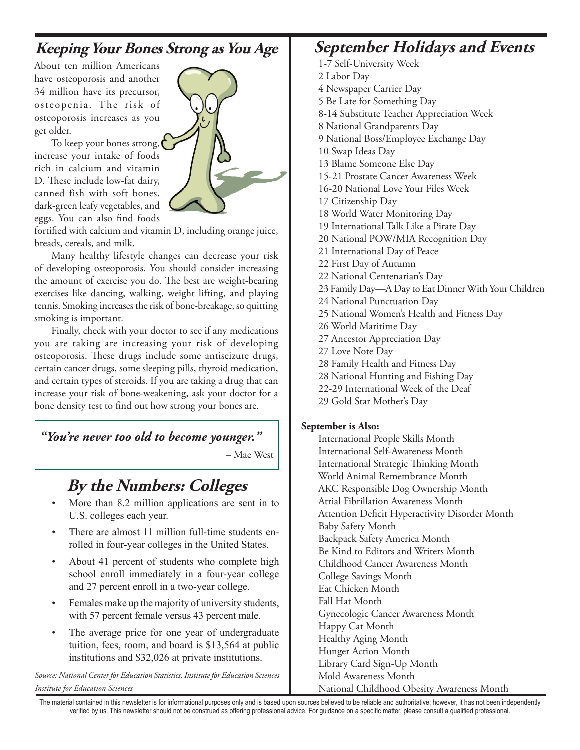## **Keeping Your Bones Strong as You Age**

About ten million Americans have osteoporosis and another 34 million have its precursor, osteopenia. The risk of osteoporosis increases as you get older.

To keep your bones strong, increase your intake of foods rich in calcium and vitamin D. These include low-fat dairy, canned fish with soft bones, dark-green leafy vegetables, and eggs. You can also find foods



fortified with calcium and vitamin D, including orange juice, breads, cereals, and milk.

Many healthy lifestyle changes can decrease your risk of developing osteoporosis. You should consider increasing the amount of exercise you do. The best are weight-bearing exercises like dancing, walking, weight lifting, and playing tennis. Smoking increases the risk of bone-breakage, so quitting smoking is important.

Finally, check with your doctor to see if any medications you are taking are increasing your risk of developing osteoporosis. These drugs include some antiseizure drugs, certain cancer drugs, some sleeping pills, thyroid medication, and certain types of steroids. If you are taking a drug that can increase your risk of bone-weakening, ask your doctor for a bone density test to find out how strong your bones are.

#### *"You're never too old to become younger."*

– Mae West

## **By the Numbers: Colleges**

- More than 8.2 million applications are sent in to U.S. colleges each year.
- There are almost 11 million full-time students enrolled in four-year colleges in the United States.
- About 41 percent of students who complete high school enroll immediately in a four-year college and 27 percent enroll in a two-year college.
- Females make up the majority of university students, with 57 percent female versus 43 percent male.
- The average price for one year of undergraduate tuition, fees, room, and board is \$13,564 at public institutions and \$32,026 at private institutions.

*Source: National Center for Education Statistics, Institute for Education Sciences Institute for Education Sciences*

## **September Holidays and Events**

- 1-7 Self-University Week
- 2 Labor Day
- 4 Newspaper Carrier Day
- 5 Be Late for Something Day
- 8-14 Substitute Teacher Appreciation Week
- 8 National Grandparents Day
- 9 National Boss/Employee Exchange Day
- 10 Swap Ideas Day
- 13 Blame Someone Else Day
- 15-21 Prostate Cancer Awareness Week
- 16-20 National Love Your Files Week
- 17 Citizenship Day
- 18 World Water Monitoring Day
- 19 International Talk Like a Pirate Day
- 20 National POW/MIA Recognition Day
- 21 International Day of Peace
- 22 First Day of Autumn
- 22 National Centenarian's Day
- 23 Family Day—A Day to Eat Dinner With Your Children
- 24 National Punctuation Day
- 25 National Women's Health and Fitness Day
- 26 World Maritime Day
- 27 Ancestor Appreciation Day
- 27 Love Note Day
- 28 Family Health and Fitness Day
- 28 National Hunting and Fishing Day
- 22-29 International Week of the Deaf
- 29 Gold Star Mother's Day

#### **September is Also:**

International People Skills Month International Self-Awareness Month International Strategic Thinking Month World Animal Remembrance Month AKC Responsible Dog Ownership Month Atrial Fibrillation Awareness Month Attention Deficit Hyperactivity Disorder Month Baby Safety Month Backpack Safety America Month Be Kind to Editors and Writers Month Childhood Cancer Awareness Month College Savings Month Eat Chicken Month Fall Hat Month Gynecologic Cancer Awareness Month Happy Cat Month Healthy Aging Month Hunger Action Month Library Card Sign-Up Month Mold Awareness Month

National Childhood Obesity Awareness Month

The material contained in this newsletter is for informational purposes only and is based upon sources believed to be reliable and authoritative; however, it has not been independently verified by us. This newsletter should not be construed as offering professional advice. For guidance on a specific matter, please consult a qualified professional.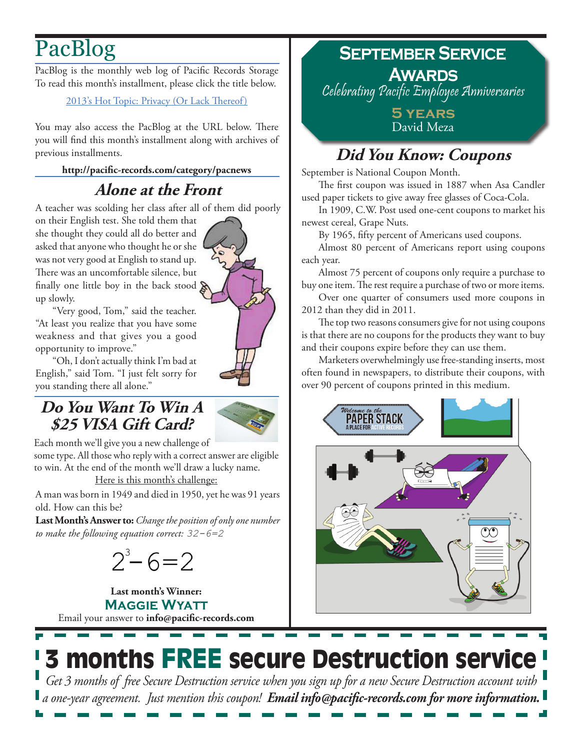# PacBlog

PacBlog is the monthly web log of Pacific Records Storage To read this month's installment, please click the title below.

#### [2013's Hot Topic: Privacy \(Or Lack Thereof\)](http://pacific-records.com/2013s-hot-topic-privacy-heres-how-to-maintain-it-within-your-business)

You may also access the PacBlog at the URL below. There you will find this month's installment along with archives of previous installments.

**<http://pacific-records.com/category/pacnews>**

## **Alone at the Front**

A teacher was scolding her class after all of them did poorly

on their English test. She told them that she thought they could all do better and asked that anyone who thought he or she was not very good at English to stand up. There was an uncomfortable silence, but finally one little boy in the back stood  $\delta$ up slowly.

"Very good, Tom," said the teacher. "At least you realize that you have some weakness and that gives you a good opportunity to improve."

"Oh, I don't actually think I'm bad at English," said Tom. "I just felt sorry for you standing there all alone."

## **Do You Want To Win A \$25 VISA Gift Card?**



Each month we'll give you a new challenge of

some type. All those who reply with a correct answer are eligible to win. At the end of the month we'll draw a lucky name. Here is this month's challenge:

A man was born in 1949 and died in 1950, yet he was 91 years old. How can this be?

**Last Month's Answer to:** *Change the position of only one number to make the following equation correct: 32-6=2*

 $2^3 - 6 = 2$ 

Email your answer to **info@pacific-records.com Last month's Winner: Maggie Wyatt**

## **September Service Awards**

Celebrating Pacific Employee Anniversaries

**5 years** David Meza

## **Did You Know: Coupons**

September is National Coupon Month.

The first coupon was issued in 1887 when Asa Candler used paper tickets to give away free glasses of Coca-Cola.

In 1909, C.W. Post used one-cent coupons to market his newest cereal, Grape Nuts.

By 1965, fifty percent of Americans used coupons.

Almost 80 percent of Americans report using coupons each year.

Almost 75 percent of coupons only require a purchase to buy one item. The rest require a purchase of two or more items.

Over one quarter of consumers used more coupons in 2012 than they did in 2011.

The top two reasons consumers give for not using coupons is that there are no coupons for the products they want to buy and their coupons expire before they can use them.

Marketers overwhelmingly use free-standing inserts, most often found in newspapers, to distribute their coupons, with over 90 percent of coupons printed in this medium.



3 months FREE secure Destruction service *Get 3 months of free Secure Destruction service when you sign up for a new Secure Destruction account with a one-year agreement. Just mention this coupon! Email info@pacific-records.com for more information.*